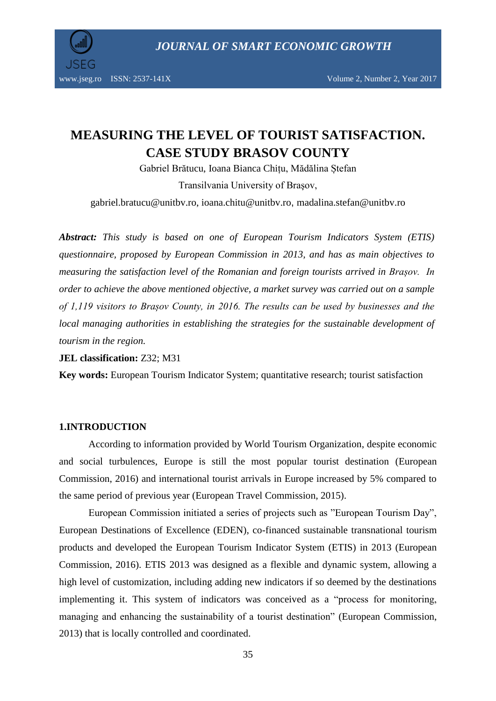*JOURNAL OF SMART ECONOMIC GROWTH*



www.jseg.ro ISSN: 2537-141X Volume 2, Number 2, Year 2017

# **MEASURING THE LEVEL OF TOURIST SATISFACTION. CASE STUDY BRASOV COUNTY**

Gabriel Brătucu, Ioana Bianca Chițu, Mădălina Ștefan Transilvania University of Braşov,

[gabriel.bratucu@unitbv.ro,](mailto:gabriel.bratucu@unitbv.ro) ioana.chitu@unitbv.ro, madalina.stefan@unitbv.ro

*Abstract: This study is based on one of European Tourism Indicators System (ETIS) questionnaire, proposed by European Commission in 2013, and has as main objectives to measuring the satisfaction level of the Romanian and foreign tourists arrived in Brașov. In order to achieve the above mentioned objective, a market survey was carried out on a sample of 1,119 visitors to Brașov County, in 2016. The results can be used by businesses and the local managing authorities in establishing the strategies for the sustainable development of tourism in the region.*

**JEL classification:** Z32; M31

**Key words:** European Tourism Indicator System; quantitative research; tourist satisfaction

#### **1.INTRODUCTION**

According to information provided by World Tourism Organization, despite economic and social turbulences, Europe is still the most popular tourist destination (European Commission, 2016) and international tourist arrivals in Europe increased by 5% compared to the same period of previous year (European Travel Commission, 2015).

European Commission initiated a series of projects such as "European Tourism Day", European Destinations of Excellence (EDEN), co-financed sustainable transnational tourism products and developed the European Tourism Indicator System (ETIS) in 2013 (European Commission, 2016). ETIS 2013 was designed as a flexible and dynamic system, allowing a high level of customization, including adding new indicators if so deemed by the destinations implementing it. This system of indicators was conceived as a "process for monitoring, managing and enhancing the sustainability of a tourist destination" (European Commission, 2013) that is locally controlled and coordinated.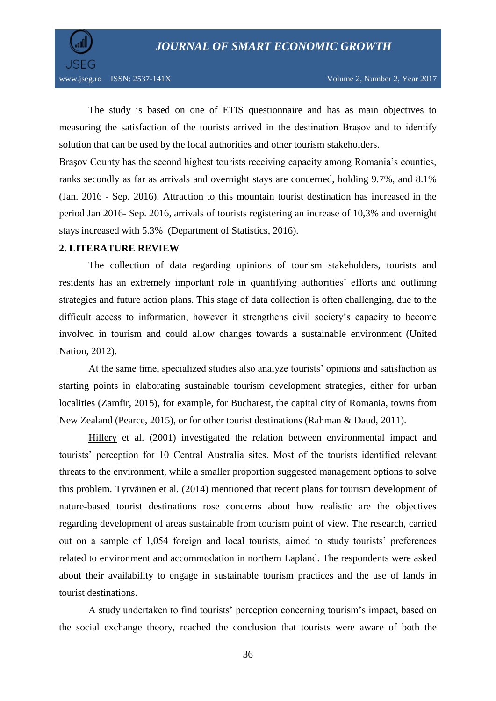

The study is based on one of ETIS questionnaire and has as main objectives to measuring the satisfaction of the tourists arrived in the destination Brașov and to identify solution that can be used by the local authorities and other tourism stakeholders.

Braşov County has the second highest tourists receiving capacity among Romania's counties, ranks secondly as far as arrivals and overnight stays are concerned, holding 9.7%, and 8.1% (Jan. 2016 - Sep. 2016). Attraction to this mountain tourist destination has increased in the period Jan 2016- Sep. 2016, arrivals of tourists registering an increase of 10,3% and overnight stays increased with 5.3% (Department of Statistics, 2016).

#### **2. LITERATURE REVIEW**

The collection of data regarding opinions of tourism stakeholders, tourists and residents has an extremely important role in quantifying authorities' efforts and outlining strategies and future action plans. This stage of data collection is often challenging, due to the difficult access to information, however it strengthens civil society's capacity to become involved in tourism and could allow changes towards a sustainable environment (United Nation, 2012).

At the same time, specialized studies also analyze tourists' opinions and satisfaction as starting points in elaborating sustainable tourism development strategies, either for urban localities (Zamfir, 2015), for example, for Bucharest, the capital city of Romania, towns from New Zealand (Pearce, 2015), or for other tourist destinations (Rahman & Daud, 2011).

[Hillery](http://www.sciencedirect.com/science/article/pii/S0160738301000044) et al. (2001) investigated the relation between environmental impact and tourists' perception for 10 Central Australia sites. Most of the tourists identified relevant threats to the environment, while a smaller proportion suggested management options to solve this problem. [Tyrväinen](http://www.sciencedirect.com/science/article/pii/S0169204613001965) et al. (2014) mentioned that recent plans for tourism development of nature-based tourist destinations rose concerns about how realistic are the objectives regarding development of areas sustainable from tourism point of view. The research, carried out on a sample of 1,054 foreign and local tourists, aimed to study tourists' preferences related to environment and accommodation in northern Lapland. The respondents were asked about their availability to engage in sustainable tourism practices and the use of lands in tourist destinations.

A study undertaken to find tourists' perception concerning tourism's impact, based on the social exchange theory, reached the conclusion that tourists were aware of both the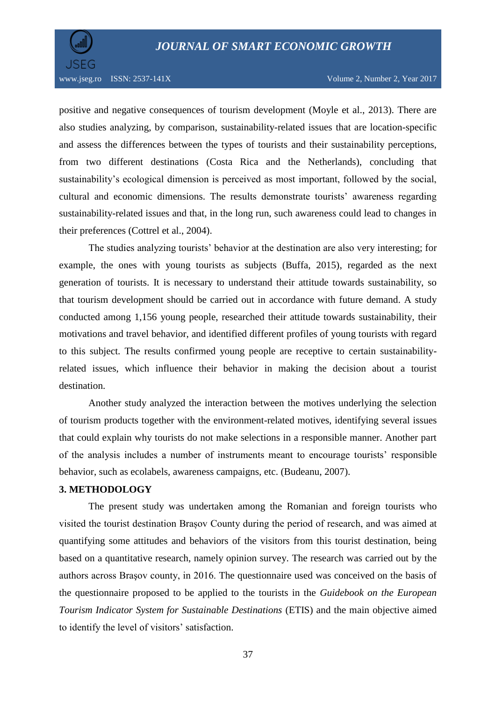

www.jseg.ro ISSN: 2537-141X Volume 2, Number 2, Year 2017

positive and negative consequences of tourism development (Moyle et al., 2013). There are also studies analyzing, by comparison, sustainability-related issues that are location-specific and assess the differences between the types of tourists and their sustainability perceptions, from two different destinations (Costa Rica and the Netherlands), concluding that sustainability's ecological dimension is perceived as most important, followed by the social, cultural and economic dimensions. The results demonstrate tourists' awareness regarding sustainability-related issues and that, in the long run, such awareness could lead to changes in their preferences (Cottrel et al., 2004).

The studies analyzing tourists' behavior at the destination are also very interesting; for example, the ones with young tourists as subjects (Buffa, 2015), regarded as the next generation of tourists. It is necessary to understand their attitude towards sustainability, so that tourism development should be carried out in accordance with future demand. A study conducted among 1,156 young people, researched their attitude towards sustainability, their motivations and travel behavior, and identified different profiles of young tourists with regard to this subject. The results confirmed young people are receptive to certain sustainabilityrelated issues, which influence their behavior in making the decision about a tourist destination.

Another study analyzed the interaction between the motives underlying the selection of tourism products together with the environment-related motives, identifying several issues that could explain why tourists do not make selections in a responsible manner. Another part of the analysis includes a number of instruments meant to encourage tourists' responsible behavior, such as ecolabels, awareness campaigns, etc. (Budeanu, 2007).

#### **3. METHODOLOGY**

The present study was undertaken among the Romanian and foreign tourists who visited the tourist destination Brașov County during the period of research, and was aimed at quantifying some attitudes and behaviors of the visitors from this tourist destination, being based on a quantitative research, namely opinion survey. The research was carried out by the authors across Braşov county, in 2016. The questionnaire used was conceived on the basis of the questionnaire proposed to be applied to the tourists in the *Guidebook on the European Tourism Indicator System for Sustainable Destinations* (ETIS) and the main objective aimed to identify the level of visitors' satisfaction.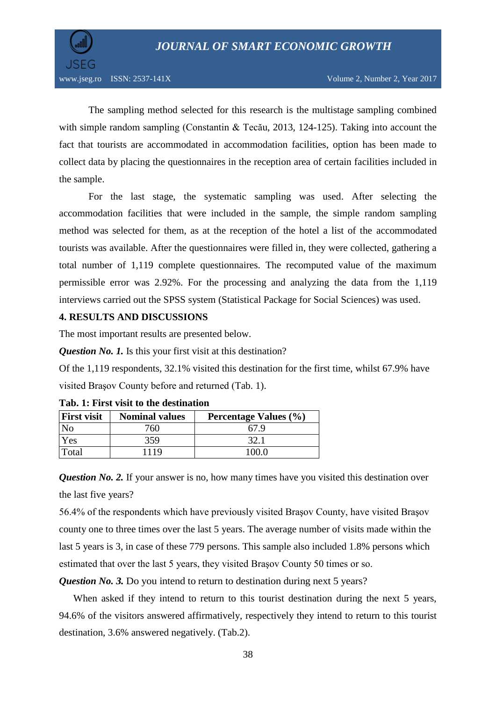

The sampling method selected for this research is the multistage sampling combined with simple random sampling (Constantin & Tecău, 2013, 124-125). Taking into account the fact that tourists are accommodated in accommodation facilities, option has been made to collect data by placing the questionnaires in the reception area of certain facilities included in the sample.

For the last stage, the systematic sampling was used. After selecting the accommodation facilities that were included in the sample, the simple random sampling method was selected for them, as at the reception of the hotel a list of the accommodated tourists was available. After the questionnaires were filled in, they were collected, gathering a total number of 1,119 complete questionnaires. The recomputed value of the maximum permissible error was 2.92%. For the processing and analyzing the data from the 1,119 interviews carried out the SPSS system (Statistical Package for Social Sciences) was used.

#### **4. RESULTS AND DISCUSSIONS**

The most important results are presented below.

*Question No. 1.* Is this your first visit at this destination?

Of the 1,119 respondents, 32.1% visited this destination for the first time, whilst 67.9% have visited Braşov County before and returned (Tab. 1).

| <b>First visit</b> | <b>Nominal values</b> | <b>Percentage Values (%)</b> |
|--------------------|-----------------------|------------------------------|
|                    | 760                   | 67 9                         |
| 'es                | 359                   |                              |
| Total              | 1119                  | $^{\circ}$ ()() $^{\circ}$   |

**Tab. 1: First visit to the destination**

*Question No. 2.* If your answer is no, how many times have you visited this destination over the last five years?

56.4% of the respondents which have previously visited Braşov County, have visited Braşov county one to three times over the last 5 years. The average number of visits made within the last 5 years is 3, in case of these 779 persons. This sample also included 1.8% persons which estimated that over the last 5 years, they visited Braşov County 50 times or so.

*Question No.* 3. Do you intend to return to destination during next 5 years?

When asked if they intend to return to this tourist destination during the next 5 years, 94.6% of the visitors answered affirmatively, respectively they intend to return to this tourist destination, 3.6% answered negatively. (Tab.2).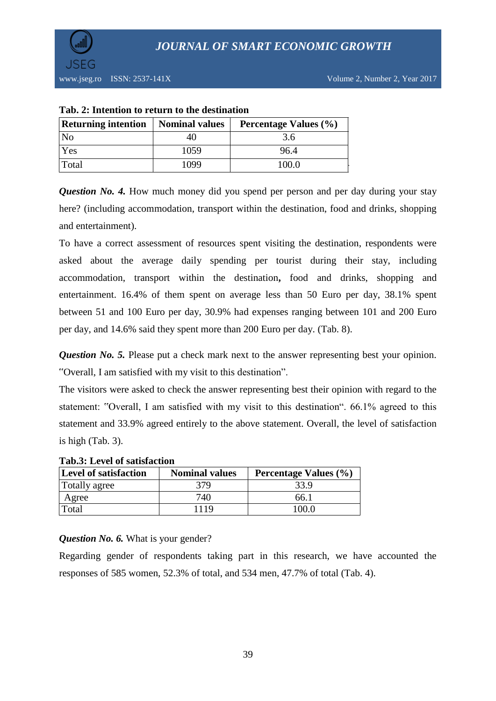

| <b>Returning intention</b> | <b>Nominal values</b> | Percentage Values (%) |  |  |
|----------------------------|-----------------------|-----------------------|--|--|
| N <sub>o</sub>             |                       | 3.6                   |  |  |
| Yes                        | 1059                  | 96.4                  |  |  |
| Total                      | 1099                  | 100.0                 |  |  |

#### **Tab. 2: Intention to return to the destination**

*Question No. 4.* How much money did you spend per person and per day during your stay here? (including accommodation, transport within the destination, food and drinks, shopping and entertainment).

To have a correct assessment of resources spent visiting the destination, respondents were asked about the average daily spending per tourist during their stay, including accommodation, transport within the destination**,** food and drinks, shopping and entertainment. 16.4% of them spent on average less than 50 Euro per day, 38.1% spent between 51 and 100 Euro per day, 30.9% had expenses ranging between 101 and 200 Euro per day, and 14.6% said they spent more than 200 Euro per day. (Tab. 8).

*Question No. 5.* Please put a check mark next to the answer representing best your opinion. "Overall, I am satisfied with my visit to this destination".

The visitors were asked to check the answer representing best their opinion with regard to the statement: "Overall, I am satisfied with my visit to this destination". 66.1% agreed to this statement and 33.9% agreed entirely to the above statement. Overall, the level of satisfaction is high (Tab. 3).

| Tab. . Level of sausiaction  |                       |                       |  |  |
|------------------------------|-----------------------|-----------------------|--|--|
| <b>Level of satisfaction</b> | <b>Nominal values</b> | Percentage Values (%) |  |  |
| Totally agree                | 379                   | 33.9                  |  |  |
| Agree                        | 740                   | 66.1                  |  |  |
| Total                        | 1119                  | 100.0                 |  |  |

# **Tab.3: Level of satisfaction**

# *Question No. 6.* What is your gender?

Regarding gender of respondents taking part in this research, we have accounted the responses of 585 women, 52.3% of total, and 534 men, 47.7% of total (Tab. 4).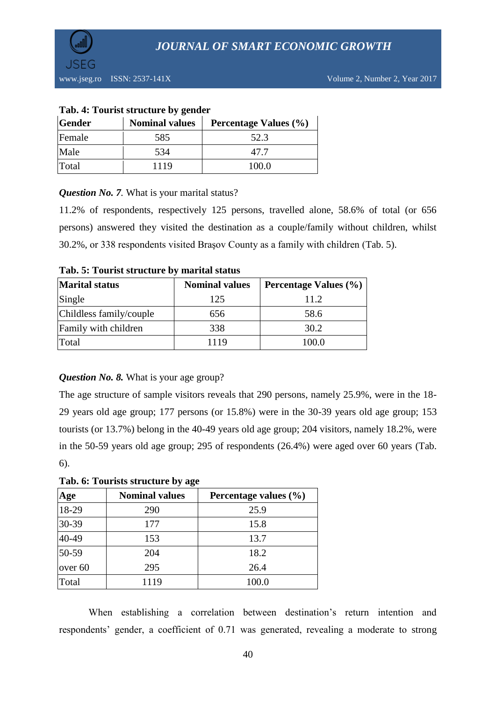

www.jseg.ro ISSN: 2537-141X Volume 2, Number 2, Year 2017

| Tab. 4: Tourist structure by gender    |      |                       |  |  |
|----------------------------------------|------|-----------------------|--|--|
| <b>Nominal values</b><br><b>Gender</b> |      | Percentage Values (%) |  |  |
| Female                                 | 585  | 52.3                  |  |  |
| Male                                   | 534  | 47.7                  |  |  |
| Total                                  | 1119 | 100.0                 |  |  |

#### **Tab. 4: Tourist structure by gender**

# *Question No. 7.* What is your marital status?

11.2% of respondents, respectively 125 persons, travelled alone, 58.6% of total (or 656 persons) answered they visited the destination as a couple/family without children, whilst 30.2%, or 338 respondents visited Braşov County as a family with children (Tab. 5).

| <b>Marital status</b>   | <b>Nominal values</b> | Percentage Values (%) |  |
|-------------------------|-----------------------|-----------------------|--|
| Single                  | 125                   | 11.2                  |  |
| Childless family/couple | 656                   | 58.6                  |  |
| Family with children    | 338                   | 30.2                  |  |
| Total                   | 1119                  | 100.0                 |  |

#### **Tab. 5: Tourist structure by marital status**

# *Question No. 8.* What is your age group?

The age structure of sample visitors reveals that 290 persons, namely 25.9%, were in the 18- 29 years old age group; 177 persons (or 15.8%) were in the 30-39 years old age group; 153 tourists (or 13.7%) belong in the 40-49 years old age group; 204 visitors, namely 18.2%, were in the 50-59 years old age group; 295 of respondents (26.4%) were aged over 60 years (Tab. 6).

#### **Tab. 6: Tourists structure by age**

| Age     | <b>Nominal values</b> | Percentage values $(\% )$ |  |  |
|---------|-----------------------|---------------------------|--|--|
| 18-29   | 290                   | 25.9                      |  |  |
| 30-39   | 177                   | 15.8                      |  |  |
| 40-49   | 153                   | 13.7                      |  |  |
| 50-59   | 204                   | 18.2                      |  |  |
| over 60 | 295                   | 26.4                      |  |  |
| Total   | 1119                  | 100.0                     |  |  |

When establishing a correlation between destination's return intention and respondents' gender, a coefficient of 0.71 was generated, revealing a moderate to strong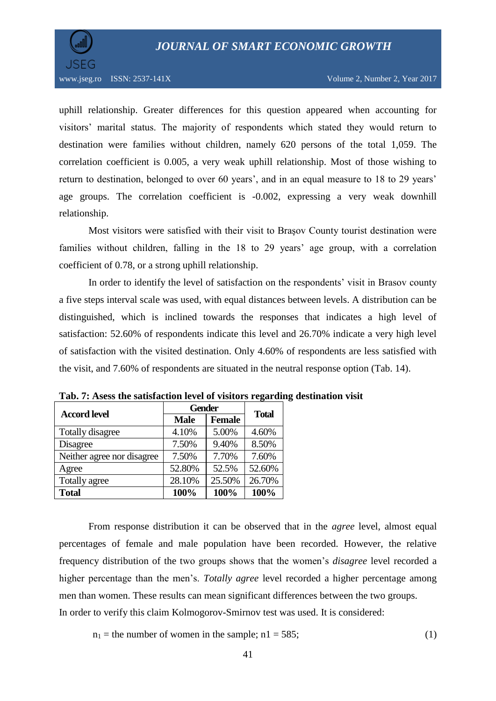

uphill relationship. Greater differences for this question appeared when accounting for visitors' marital status. The majority of respondents which stated they would return to destination were families without children, namely 620 persons of the total 1,059. The correlation coefficient is 0.005, a very weak uphill relationship. Most of those wishing to return to destination, belonged to over 60 years', and in an equal measure to 18 to 29 years' age groups. The correlation coefficient is -0.002, expressing a very weak downhill relationship.

Most visitors were satisfied with their visit to Braşov County tourist destination were families without children, falling in the 18 to 29 years' age group, with a correlation coefficient of 0.78, or a strong uphill relationship.

In order to identify the level of satisfaction on the respondents' visit in Brasov county a five steps interval scale was used, with equal distances between levels. A distribution can be distinguished, which is inclined towards the responses that indicates a high level of satisfaction: 52.60% of respondents indicate this level and 26.70% indicate a very high level of satisfaction with the visited destination. Only 4.60% of respondents are less satisfied with the visit, and 7.60% of respondents are situated in the neutral response option (Tab. 14).

| <b>Accord level</b>        | <b>Gender</b> | <b>Total</b>  |        |  |
|----------------------------|---------------|---------------|--------|--|
|                            | <b>Male</b>   | <b>Female</b> |        |  |
| <b>Totally disagree</b>    | 4.10%         | 5.00%         | 4.60%  |  |
| Disagree                   | 7.50%         | 9.40%         | 8.50%  |  |
| Neither agree nor disagree | 7.50%         | 7.70%         | 7.60%  |  |
| Agree                      | 52.80%        | 52.5%         | 52.60% |  |
| Totally agree              | 28.10%        | 25.50%        | 26.70% |  |
| <b>Total</b>               | 100%          | 100%          | 100%   |  |

**Tab. 7: Asess the satisfaction level of visitors regarding destination visit**

From response distribution it can be observed that in the *agree* level, almost equal percentages of female and male population have been recorded. However, the relative frequency distribution of the two groups shows that the women's *disagree* level recorded a higher percentage than the men's. *Totally agree* level recorded a higher percentage among men than women. These results can mean significant differences between the two groups. In order to verify this claim Kolmogorov-Smirnov test was used. It is considered:

 $n_1$  = the number of women in the sample;  $n_1$  = 585; (1)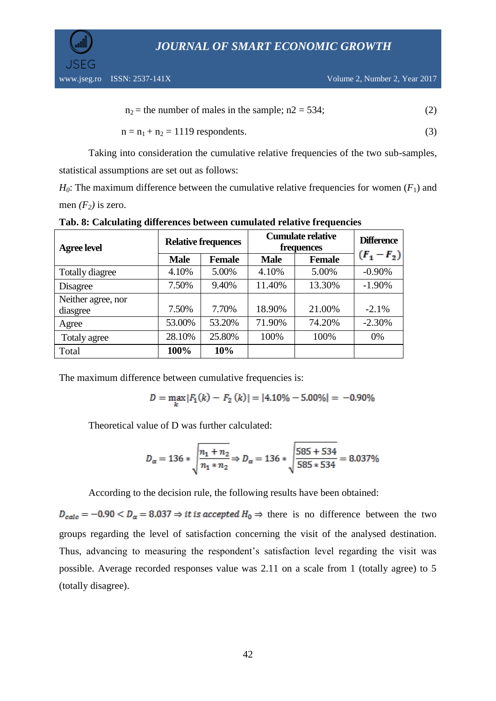*JOURNAL OF SMART ECONOMIC GROWTH*

$$
n_2 = the number of males in the sample; n2 = 534; \tag{2}
$$

$$
n = n_1 + n_2 = 1119
$$
respondents. (3)

Taking into consideration the cumulative relative frequencies of the two sub-samples, statistical assumptions are set out as follows:

 $H_0$ : The maximum difference between the cumulative relative frequencies for women  $(F_1)$  and men  $(F_2)$  is zero.

| <b>Agree level</b>             | <b>Relative frequences</b> |               | <b>Cumulate relative</b><br>frequences |               | <b>Difference</b> |  |
|--------------------------------|----------------------------|---------------|----------------------------------------|---------------|-------------------|--|
|                                | <b>Male</b>                | <b>Female</b> | <b>Male</b>                            | <b>Female</b> | $(F_1 - F_2)$     |  |
| <b>Totally diagree</b>         | 4.10%                      | 5.00%         | 4.10%                                  | 5.00%         | $-0.90%$          |  |
| Disagree                       | 7.50%                      | 9.40%         | 11.40%                                 | 13.30%        | $-1.90%$          |  |
| Neither agree, nor<br>diasgree | 7.50%                      | 7.70%         | 18.90%                                 | 21.00%        | $-2.1%$           |  |
| Agree                          | 53.00%                     | 53.20%        | 71.90%                                 | 74.20%        | $-2.30%$          |  |
| Totaly agree                   | 28.10%                     | 25.80%        | 100%                                   | 100%          | $0\%$             |  |
| Total                          | 100%                       | 10%           |                                        |               |                   |  |

**Tab. 8: Calculating differences between cumulated relative frequencies**

The maximum difference between cumulative frequencies is:

$$
D = \max_{k} |F_1(k) - F_2(k)| = |4.10\% - 5.00\%| = -0.90\%
$$

Theoretical value of D was further calculated:

$$
D_{\alpha} = 136 * \sqrt{\frac{n_1 + n_2}{n_1 * n_2}} \Rightarrow D_{\alpha} = 136 * \sqrt{\frac{585 + 534}{585 * 534}} = 8.037\%
$$

According to the decision rule, the following results have been obtained:

 $D_{calc} = -0.90 < D_{\alpha} = 8.037 \Rightarrow it \text{ is accepted } H_0 \Rightarrow \text{ there is no difference between the two}$ groups regarding the level of satisfaction concerning the visit of the analysed destination. Thus, advancing to measuring the respondent's satisfaction level regarding the visit was possible. Average recorded responses value was 2.11 on a scale from 1 (totally agree) to 5 (totally disagree).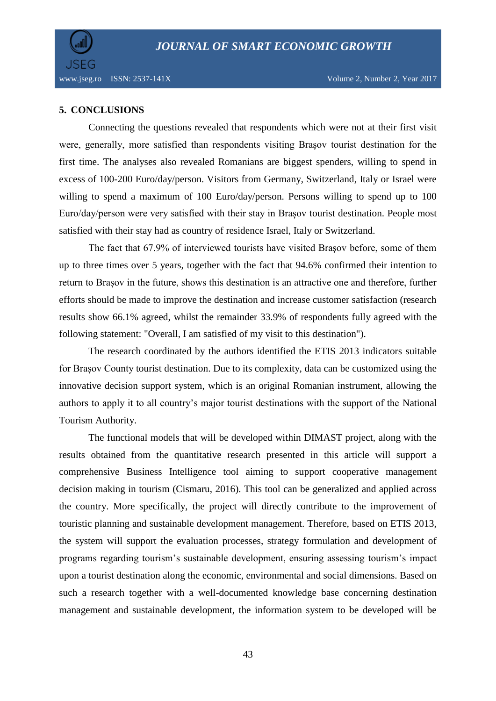

www.jseg.ro ISSN: 2537-141X Volume 2, Number 2, Year 2017

# **5. CONCLUSIONS**

Connecting the questions revealed that respondents which were not at their first visit were, generally, more satisfied than respondents visiting Braşov tourist destination for the first time. The analyses also revealed Romanians are biggest spenders, willing to spend in excess of 100-200 Euro/day/person. Visitors from Germany, Switzerland, Italy or Israel were willing to spend a maximum of 100 Euro/day/person. Persons willing to spend up to 100 Euro/day/person were very satisfied with their stay in Brașov tourist destination. People most satisfied with their stay had as country of residence Israel, Italy or Switzerland.

The fact that 67.9% of interviewed tourists have visited Braşov before, some of them up to three times over 5 years, together with the fact that 94.6% confirmed their intention to return to Brașov in the future, shows this destination is an attractive one and therefore, further efforts should be made to improve the destination and increase customer satisfaction (research results show 66.1% agreed, whilst the remainder 33.9% of respondents fully agreed with the following statement: "Overall, I am satisfied of my visit to this destination").

The research coordinated by the authors identified the ETIS 2013 indicators suitable for Brașov County tourist destination. Due to its complexity, data can be customized using the innovative decision support system, which is an original Romanian instrument, allowing the authors to apply it to all country's major tourist destinations with the support of the National Tourism Authority.

The functional models that will be developed within DIMAST project, along with the results obtained from the quantitative research presented in this article will support a comprehensive Business Intelligence tool aiming to support cooperative management decision making in tourism (Cismaru, 2016). This tool can be generalized and applied across the country. More specifically, the project will directly contribute to the improvement of touristic planning and sustainable development management. Therefore, based on ETIS 2013, the system will support the evaluation processes, strategy formulation and development of programs regarding tourism's sustainable development, ensuring assessing tourism's impact upon a tourist destination along the economic, environmental and social dimensions. Based on such a research together with a well-documented knowledge base concerning destination management and sustainable development, the information system to be developed will be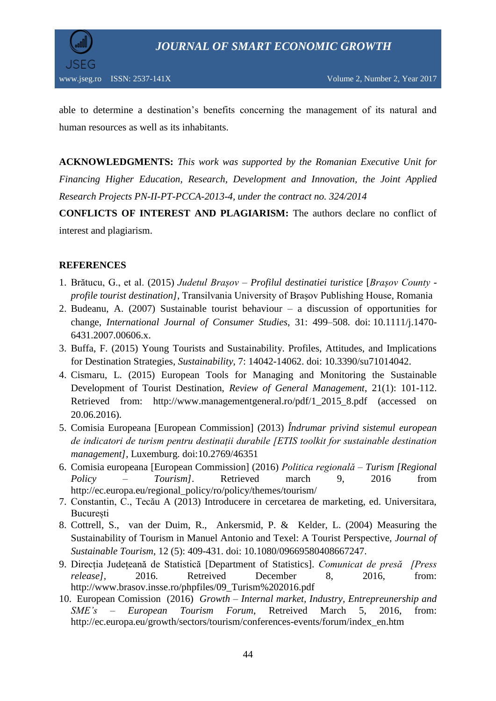



able to determine a destination's benefits concerning the management of its natural and human resources as well as its inhabitants.

**ACKNOWLEDGMENTS:** *This work was supported by the Romanian Executive Unit for Financing Higher Education, Research, Development and Innovation, the Joint Applied Research Projects PN-II-PT-PCCA-2013-4, under the contract no. 324/2014*

**CONFLICTS OF INTEREST AND PLAGIARISM:** The authors declare no conflict of interest and plagiarism.

# **REFERENCES**

- 1. Brătucu, G., et al. (2015) *Judetul Brașov – Profilul destinatiei turistice* [*Brașov County profile tourist destination]*, Transilvania University of Brașov Publishing House, Romania
- 2. Budeanu, A. (2007) Sustainable tourist behaviour a discussion of opportunities for change, *International Journal of Consumer Studies*, 31: 499–508. doi: 10.1111/j.1470- 6431.2007.00606.x.
- 3. Buffa, F. (2015) Young Tourists and Sustainability. Profiles, Attitudes, and Implications for Destination Strategies, *Sustainability*, 7: 14042-14062. doi: 10.3390/su71014042.
- 4. Cismaru, L. (2015) European Tools for Managing and Monitoring the Sustainable Development of Tourist Destination, *Review of General Management*, 21(1): 101-112. Retrieved from: [http://www.managementgeneral.ro/pdf/1\\_2015\\_8.pdf](http://www.managementgeneral.ro/pdf/1_2015_8.pdf) (accessed on 20.06.2016).
- 5. Comisia Europeana [European Commission] (2013) *Îndrumar privind sistemul european de indicatori de turism pentru destinații durabile [ETIS toolkit for sustainable destination management]*, Luxemburg. doi:10.2769/46351
- 6. Comisia europeana [European Commission] (2016) *Politica regională – Turism [Regional Policy – Tourism]*. Retrieved march 9, 2016 from [http://ec.europa.eu/regional\\_policy/ro/policy/themes/tourism/](http://ec.europa.eu/regional_policy/ro/policy/themes/tourism/)
- 7. Constantin, C., Tecău A (2013) Introducere in cercetarea de marketing, ed. Universitara, București
- 8. [Cottrell,](http://www.tandfonline.com/author/Cottrell%2C+Stuart) S., [van der Duim,](http://www.tandfonline.com/author/van+der+Duim%2C+Ren%C3%A9) R., [Ankersmid,](http://www.tandfonline.com/author/Ankersmid%2C+Patricia) P. & [Kelder,](http://www.tandfonline.com/author/Kelder%2C+Liesbeth) L. (2004) Measuring the Sustainability of Tourism in Manuel Antonio and Texel: A Tourist Perspective, *Journal of Sustainable Tourism*, [12](http://www.tandfonline.com/loi/rsus20?open=12#vol_12) (5): 409-431. doi: 10.1080/09669580408667247.
- 9. Direcția Județeană de Statistică [Department of Statistics]. *Comunicat de presă [Press release],* 2016. Retreived December 8, 2016, from: [http://www.brasov.insse.ro/phpfiles/09\\_Turism%202016.pdf](http://www.brasov.insse.ro/phpfiles/09_Turism%202016.pdf)
- 10. European Comission (2016) *Growth Internal market, Industry, Entrepreunership and SME's – European Tourism Forum*, Retreived March 5, 2016, from: [http://ec.europa.eu/growth/sectors/tourism/conferences-events/forum/index\\_en.htm](http://ec.europa.eu/growth/sectors/tourism/conferences-events/forum/index_en.htm)